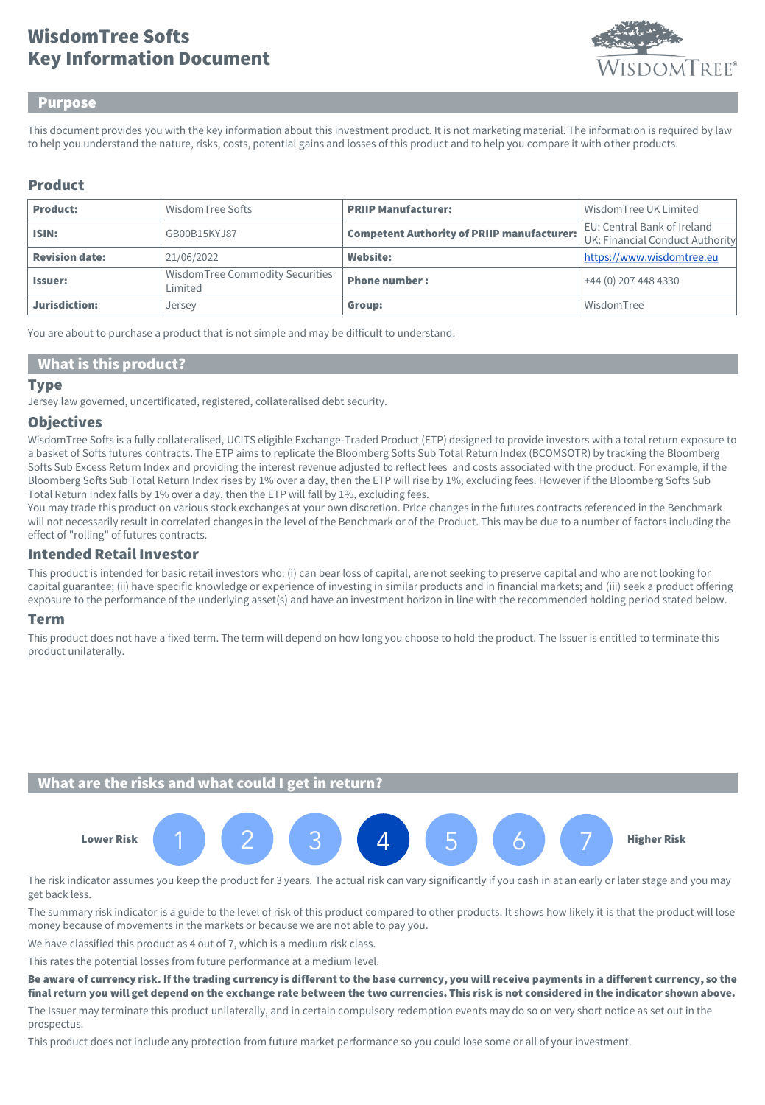# Key Information Document WisdomTree Softs



### Purpose

This document provides you with the key information about this investment product. It is not marketing material. The information is required by law to help you understand the nature, risks, costs, potential gains and losses of this product and to help you compare it with other products.

### Product

| <b>Product:</b>       | WisdomTree Softs                           | <b>PRIIP Manufacturer:</b>                        | Wisdom Tree UK Limited                                         |
|-----------------------|--------------------------------------------|---------------------------------------------------|----------------------------------------------------------------|
| ISIN:                 | GB00B15KY.J87                              | <b>Competent Authority of PRIIP manufacturer:</b> | EU: Central Bank of Ireland<br>UK: Financial Conduct Authority |
| <b>Revision date:</b> | 21/06/2022                                 | <b>Website:</b>                                   | https://www.wisdomtree.eu                                      |
| <b>Issuer:</b>        | WisdomTree Commodity Securities<br>Limited | <b>Phone number:</b>                              | +44 (0) 207 448 4330                                           |
| Jurisdiction:         | Jersey                                     | Group:                                            | WisdomTree                                                     |

You are about to purchase a product that is not simple and may be difficult to understand.

### What is this product?

#### Type

Jersey law governed, uncertificated, registered, collateralised debt security.

### **Objectives**

WisdomTree Softs is a fully collateralised, UCITS eligible Exchange-Traded Product (ETP) designed to provide investors with a total return exposure to a basket of Softs futures contracts. The ETP aims to replicate the Bloomberg Softs Sub Total Return Index (BCOMSOTR) by tracking the Bloomberg Softs Sub Excess Return Index and providing the interest revenue adjusted to reflect fees and costs associated with the product. For example, if the Bloomberg Softs Sub Total Return Index rises by 1% over a day, then the ETP will rise by 1%, excluding fees. However if the Bloomberg Softs Sub Total Return Index falls by 1% over a day, then the ETP will fall by 1%, excluding fees.

You may trade this product on various stock exchanges at your own discretion. Price changes in the futures contracts referenced in the Benchmark will not necessarily result in correlated changes in the level of the Benchmark or of the Product. This may be due to a number of factors including the effect of "rolling" of futures contracts.

## Intended Retail Investor

This product is intended for basic retail investors who: (i) can bear loss of capital, are not seeking to preserve capital and who are not looking for capital guarantee; (ii) have specific knowledge or experience of investing in similar products and in financial markets; and (iii) seek a product offering exposure to the performance of the underlying asset(s) and have an investment horizon in line with the recommended holding period stated below.

#### Term

This product does not have a fixed term. The term will depend on how long you choose to hold the product. The Issuer is entitled to terminate this product unilaterally.

## What are the risks and what could I get in return?



The risk indicator assumes you keep the product for 3 years. The actual risk can vary significantly if you cash in at an early or later stage and you may get back less.

The summary risk indicator is a guide to the level of risk of this product compared to other products. It shows how likely it is that the product will lose money because of movements in the markets or because we are not able to pay you.

We have classified this product as 4 out of 7, which is a medium risk class.

This rates the potential losses from future performance at a medium level.

#### Be aware of currency risk. If the trading currency is different to the base currency, you will receive payments in a different currency, so the final return you will get depend on the exchange rate between the two currencies. This risk is not considered in the indicator shown above.

The Issuer may terminate this product unilaterally, and in certain compulsory redemption events may do so on very short notice as set out in the prospectus.

This product does not include any protection from future market performance so you could lose some or all of your investment.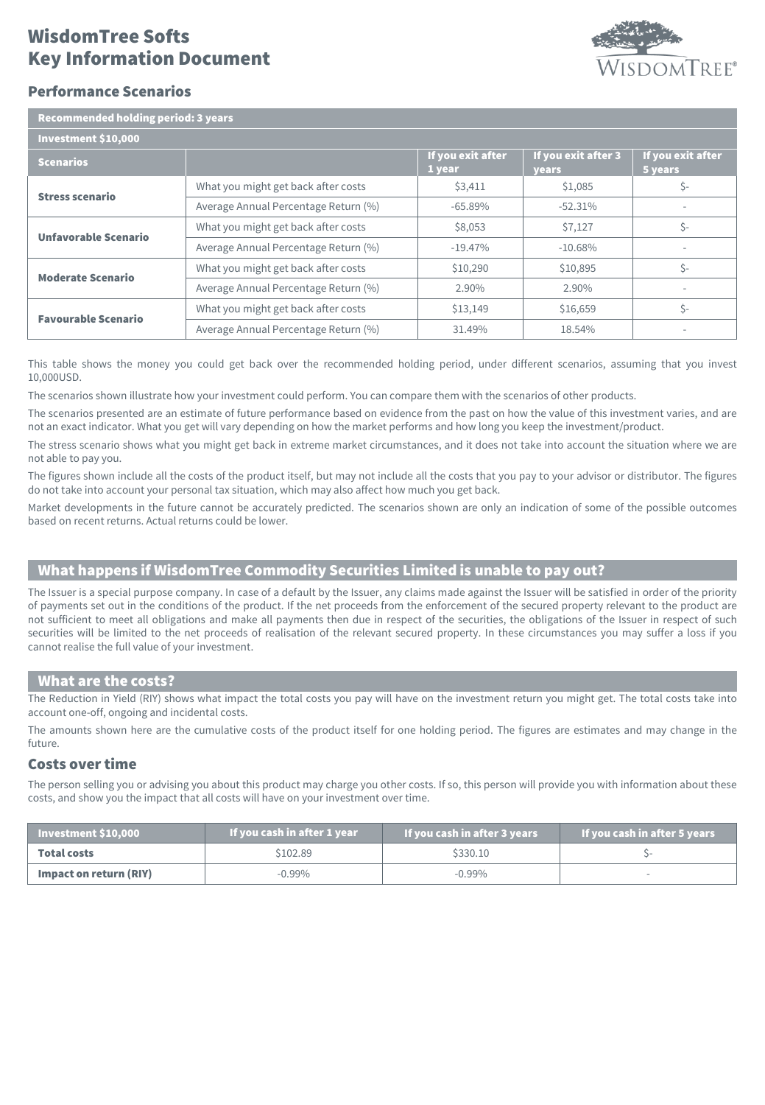# Key Information Document WisdomTree Softs



### Performance Scenarios

| <b>Recommended holding period: 3 years</b> |                                      |                             |                              |                              |  |  |
|--------------------------------------------|--------------------------------------|-----------------------------|------------------------------|------------------------------|--|--|
| Investment \$10,000                        |                                      |                             |                              |                              |  |  |
| <b>Scenarios</b>                           |                                      | If you exit after<br>1 year | If you exit after 3<br>years | If you exit after<br>5 years |  |  |
| <b>Stress scenario</b>                     | What you might get back after costs  | \$3,411                     | \$1,085                      | $S-$                         |  |  |
|                                            | Average Annual Percentage Return (%) | $-65.89\%$                  | $-52.31%$                    |                              |  |  |
| Unfavorable Scenario                       | What you might get back after costs  | \$8,053                     | \$7,127                      | Ś-                           |  |  |
|                                            | Average Annual Percentage Return (%) | $-19.47\%$                  | $-10.68%$                    |                              |  |  |
| <b>Moderate Scenario</b>                   | What you might get back after costs  | \$10,290                    | \$10,895                     | \$-                          |  |  |
|                                            | Average Annual Percentage Return (%) | 2.90%                       | $2.90\%$                     |                              |  |  |
| <b>Favourable Scenario</b>                 | What you might get back after costs  | \$13,149                    | \$16,659                     | $\zeta$ -                    |  |  |
|                                            | Average Annual Percentage Return (%) | 31.49%                      | 18.54%                       |                              |  |  |

This table shows the money you could get back over the recommended holding period, under different scenarios, assuming that you invest 10,000USD.

The scenarios shown illustrate how your investment could perform. You can compare them with the scenarios of other products.

The scenarios presented are an estimate of future performance based on evidence from the past on how the value of this investment varies, and are not an exact indicator. What you get will vary depending on how the market performs and how long you keep the investment/product.

The stress scenario shows what you might get back in extreme market circumstances, and it does not take into account the situation where we are not able to pay you.

The figures shown include all the costs of the product itself, but may not include all the costs that you pay to your advisor or distributor. The figures do not take into account your personal tax situation, which may also affect how much you get back.

Market developments in the future cannot be accurately predicted. The scenarios shown are only an indication of some of the possible outcomes based on recent returns. Actual returns could be lower.

## What happens if WisdomTree Commodity Securities Limited is unable to pay out?

The Issuer is a special purpose company. In case of a default by the Issuer, any claims made against the Issuer will be satisfied in order of the priority of payments set out in the conditions of the product. If the net proceeds from the enforcement of the secured property relevant to the product are not sufficient to meet all obligations and make all payments then due in respect of the securities, the obligations of the Issuer in respect of such securities will be limited to the net proceeds of realisation of the relevant secured property. In these circumstances you may suffer a loss if you cannot realise the full value of your investment.

### What are the costs?

The Reduction in Yield (RIY) shows what impact the total costs you pay will have on the investment return you might get. The total costs take into account one-off, ongoing and incidental costs.

The amounts shown here are the cumulative costs of the product itself for one holding period. The figures are estimates and may change in the future.

### Costs over time

The person selling you or advising you about this product may charge you other costs. If so, this person will provide you with information about these costs, and show you the impact that all costs will have on your investment over time.

| $\blacksquare$ Investment \$10,000 | If you cash in after 1 year | If you cash in after 3 years | If you cash in after 5 years |
|------------------------------------|-----------------------------|------------------------------|------------------------------|
| <b>Total costs</b>                 | \$102.89                    |                              |                              |
| Impact on return (RIY)             | $-0.99\%$                   | -0.99%                       |                              |